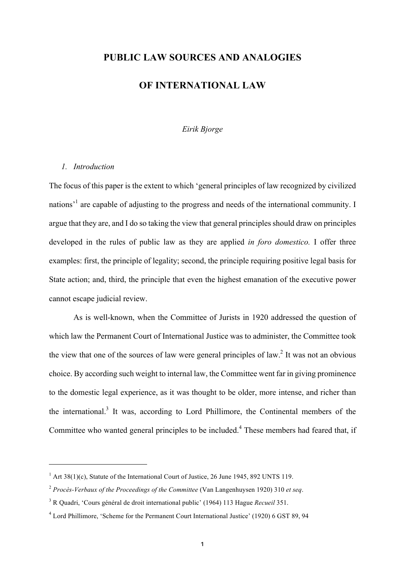# **PUBLIC LAW SOURCES AND ANALOGIES**

### **OF INTERNATIONAL LAW**

### *Eirik Bjorge*

#### *1. Introduction*

 

The focus of this paper is the extent to which 'general principles of law recognized by civilized nations<sup>1</sup> are capable of adjusting to the progress and needs of the international community. I argue that they are, and I do so taking the view that general principles should draw on principles developed in the rules of public law as they are applied *in foro domestico.* I offer three examples: first, the principle of legality; second, the principle requiring positive legal basis for State action; and, third, the principle that even the highest emanation of the executive power cannot escape judicial review.

As is well-known, when the Committee of Jurists in 1920 addressed the question of which law the Permanent Court of International Justice was to administer, the Committee took the view that one of the sources of law were general principles of law.<sup>2</sup> It was not an obvious choice. By according such weight to internal law, the Committee went far in giving prominence to the domestic legal experience, as it was thought to be older, more intense, and richer than the international. <sup>3</sup> It was, according to Lord Phillimore, the Continental members of the Committee who wanted general principles to be included.<sup>4</sup> These members had feared that, if

 $1$  Art 38(1)(c), Statute of the International Court of Justice, 26 June 1945, 892 UNTS 119.

<sup>2</sup> *Procès-Verbaux of the Proceedings of the Committee* (Van Langenhuysen 1920) 310 *et seq*.

<sup>3</sup> R Quadri, 'Cours général de droit international public' (1964) 113 Hague *Recueil* 351.

<sup>4</sup> Lord Phillimore, 'Scheme for the Permanent Court International Justice' (1920) 6 GST 89, 94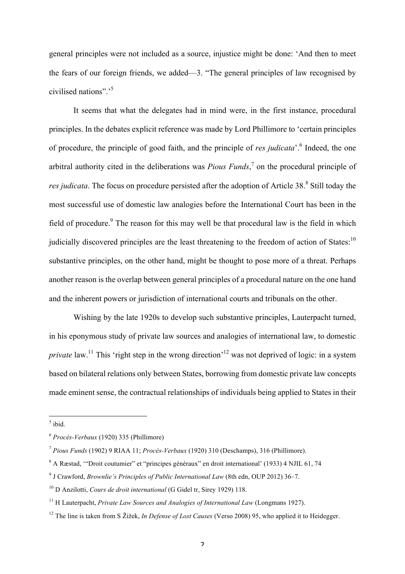general principles were not included as a source, injustice might be done: 'And then to meet the fears of our foreign friends, we added—3. "The general principles of law recognised by civilised nations".' 5

It seems that what the delegates had in mind were, in the first instance, procedural principles. In the debates explicit reference was made by Lord Phillimore to 'certain principles of procedure, the principle of good faith, and the principle of *res judicata*'. <sup>6</sup> Indeed, the one arbitral authority cited in the deliberations was *Pious Funds*, <sup>7</sup> on the procedural principle of *res judicata*. The focus on procedure persisted after the adoption of Article 38. <sup>8</sup> Still today the most successful use of domestic law analogies before the International Court has been in the field of procedure.<sup>9</sup> The reason for this may well be that procedural law is the field in which judicially discovered principles are the least threatening to the freedom of action of States:<sup>10</sup> substantive principles, on the other hand, might be thought to pose more of a threat. Perhaps another reason is the overlap between general principles of a procedural nature on the one hand and the inherent powers or jurisdiction of international courts and tribunals on the other.

Wishing by the late 1920s to develop such substantive principles, Lauterpacht turned, in his eponymous study of private law sources and analogies of international law, to domestic *private* law.<sup>11</sup> This 'right step in the wrong direction'<sup>12</sup> was not deprived of logic: in a system based on bilateral relations only between States, borrowing from domestic private law concepts made eminent sense, the contractual relationships of individuals being applied to States in their

 $<sup>5</sup>$  ibid.</sup>

<sup>6</sup> *Procès-Verbaux* (1920) 335 (Phillimore)

<sup>7</sup> *Pious Funds* (1902) 9 RIAA 11; *Procès-Verbaux* (1920) 310 (Deschamps), 316 (Phillimore).

<sup>8</sup> A Ræstad, '"Droit coutumier" et "principes généraux" en droit international' (1933) 4 NJIL 61, 74

<sup>9</sup> J Crawford, *Brownlie's Principles of Public International Law* (8th edn, OUP 2012) 36–7.

<sup>10</sup> D Anzilotti, *Cours de droit international* (G Gidel tr, Sirey 1929) 118.

<sup>&</sup>lt;sup>11</sup> H Lauterpacht, *Private Law Sources and Analogies of International Law* (Longmans 1927).

<sup>&</sup>lt;sup>12</sup> The line is taken from S Žižek, *In Defense of Lost Causes* (Verso 2008) 95, who applied it to Heidegger.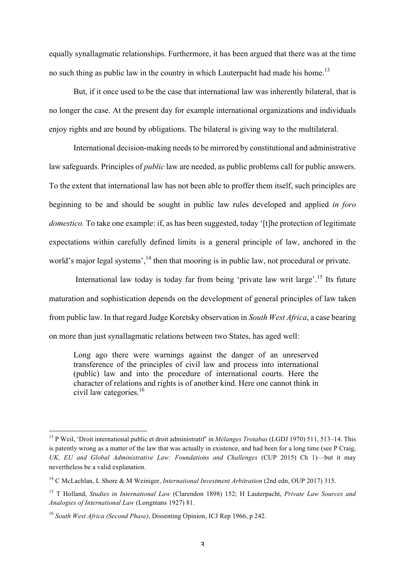equally synallagmatic relationships. Furthermore, it has been argued that there was at the time no such thing as public law in the country in which Lauterpacht had made his home.<sup>13</sup>

But, if it once used to be the case that international law was inherently bilateral, that is no longer the case. At the present day for example international organizations and individuals enjoy rights and are bound by obligations. The bilateral is giving way to the multilateral.

International decision-making needs to be mirrored by constitutional and administrative law safeguards. Principles of *public* law are needed, as public problems call for public answers. To the extent that international law has not been able to proffer them itself, such principles are beginning to be and should be sought in public law rules developed and applied *in foro domestico.* To take one example: if, as has been suggested, today '[t] the protection of legitimate expectations within carefully defined limits is a general principle of law, anchored in the world's major legal systems',<sup>14</sup> then that mooring is in public law, not procedural or private.

International law today is today far from being 'private law writ large'.<sup>15</sup> Its future maturation and sophistication depends on the development of general principles of law taken from public law. In that regard Judge Koretsky observation in *South West Africa*, a case bearing on more than just synallagmatic relations between two States, has aged well:

Long ago there were warnings against the danger of an unreserved transference of the principles of civil law and process into international (public) law and into the procedure of international courts. Here the character of relations and rights is of another kind. Here one cannot think in civil law categories.<sup>16</sup>

<sup>13</sup> P Weil, 'Droit international public et droit administratif' in *Mélanges Trotabas* (LGDJ 1970) 511, 513–14. This is patently wrong as a matter of the law that was actually in existence, and had been for a long time (see P Craig, *UK, EU and Global Administrative Law: Foundations and Challenges* (CUP 2015) Ch 1)—but it may nevertheless be a valid explanation.

<sup>&</sup>lt;sup>14</sup> C McLachlan, L Shore & M Weiniger, *International Investment Arbitration* (2nd edn, OUP 2017) 315.

<sup>15</sup> T Holland, *Studies in International Law* (Clarendon 1898) 152; H Lauterpacht, *Private Law Sources and Analogies of International Law* (Longmans 1927) 81.

<sup>16</sup> *South West Africa (Second Phase)*, Dissenting Opinion, ICJ Rep 1966, p 242.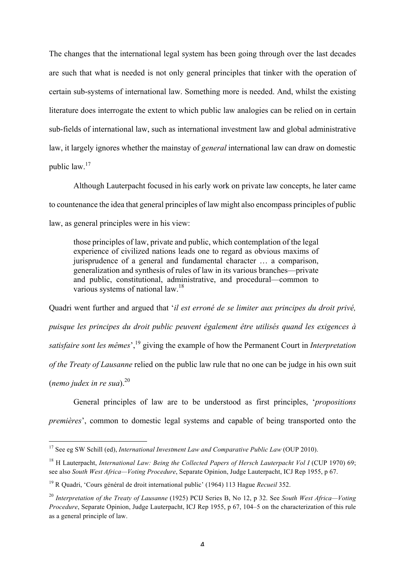The changes that the international legal system has been going through over the last decades are such that what is needed is not only general principles that tinker with the operation of certain sub-systems of international law. Something more is needed. And, whilst the existing literature does interrogate the extent to which public law analogies can be relied on in certain sub-fields of international law, such as international investment law and global administrative law, it largely ignores whether the mainstay of *general* international law can draw on domestic public law.17

Although Lauterpacht focused in his early work on private law concepts, he later came to countenance the idea that general principles of law might also encompass principles of public law, as general principles were in his view:

those principles of law, private and public, which contemplation of the legal experience of civilized nations leads one to regard as obvious maxims of jurisprudence of a general and fundamental character … a comparison, generalization and synthesis of rules of law in its various branches—private and public, constitutional, administrative, and procedural—common to various systems of national law.<sup>18</sup>

Quadri went further and argued that '*il est erroné de se limiter aux principes du droit privé, puisque les principes du droit public peuvent également être utilisés quand les exigences à satisfaire sont les mêmes*',19 giving the example of how the Permanent Court in *Interpretation of the Treaty of Lausanne* relied on the public law rule that no one can be judge in his own suit (*nemo judex in re sua*). $^{20}$ 

General principles of law are to be understood as first principles, '*propositions premières*', common to domestic legal systems and capable of being transported onto the

<sup>&</sup>lt;sup>17</sup> See eg SW Schill (ed), *International Investment Law and Comparative Public Law* (OUP 2010).

<sup>&</sup>lt;sup>18</sup> H Lauterpacht, *International Law: Being the Collected Papers of Hersch Lauterpacht Vol I* (CUP 1970) 69; see also *South West Africa—Voting Procedure*, Separate Opinion, Judge Lauterpacht, ICJ Rep 1955, p 67.

<sup>19</sup> R Quadri, 'Cours général de droit international public' (1964) 113 Hague *Recueil* 352.

<sup>20</sup> *Interpretation of the Treaty of Lausanne* (1925) PCIJ Series B, No 12, p 32. See *South West Africa—Voting Procedure*, Separate Opinion, Judge Lauterpacht, ICJ Rep 1955, p 67, 104–5 on the characterization of this rule as a general principle of law.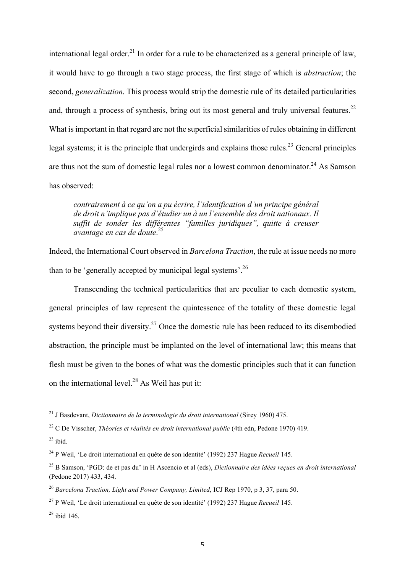international legal order.<sup>21</sup> In order for a rule to be characterized as a general principle of law, it would have to go through a two stage process, the first stage of which is *abstraction*; the second, *generalization*. This process would strip the domestic rule of its detailed particularities and, through a process of synthesis, bring out its most general and truly universal features.<sup>22</sup> What is important in that regard are not the superficial similarities of rules obtaining in different legal systems; it is the principle that undergirds and explains those rules.<sup>23</sup> General principles are thus not the sum of domestic legal rules nor a lowest common denominator.<sup>24</sup> As Samson has observed:

*contrairement à ce qu'on a pu écrire, l'identification d'un principe général de droit n'implique pas d'étudier un à un l'ensemble des droit nationaux. Il suffit de sonder les différentes "familles juridiques", quitte à creuser avantage en cas de doute*. 25

Indeed, the International Court observed in *Barcelona Traction*, the rule at issue needs no more than to be 'generally accepted by municipal legal systems'.<sup>26</sup>

Transcending the technical particularities that are peculiar to each domestic system, general principles of law represent the quintessence of the totality of these domestic legal systems beyond their diversity.<sup>27</sup> Once the domestic rule has been reduced to its disembodied abstraction, the principle must be implanted on the level of international law; this means that flesh must be given to the bones of what was the domestic principles such that it can function on the international level.<sup>28</sup> As Weil has put it:

<sup>21</sup> J Basdevant, *Dictionnaire de la terminologie du droit international* (Sirey 1960) 475.

<sup>22</sup> C De Visscher, *Théories et réalités en droit international public* (4th edn, Pedone 1970) 419.

 $23$  ibid.

<sup>24</sup> P Weil, 'Le droit international en quête de son identité' (1992) 237 Hague *Recueil* 145.

<sup>25</sup> B Samson, 'PGD: de et pas du' in H Ascencio et al (eds), *Dictionnaire des idées reçues en droit international* (Pedone 2017) 433, 434.

<sup>26</sup> *Barcelona Traction, Light and Power Company, Limited*, ICJ Rep 1970, p 3, 37, para 50.

<sup>27</sup> P Weil, 'Le droit international en quête de son identité' (1992) 237 Hague *Recueil* 145.

 $28$  ibid 146.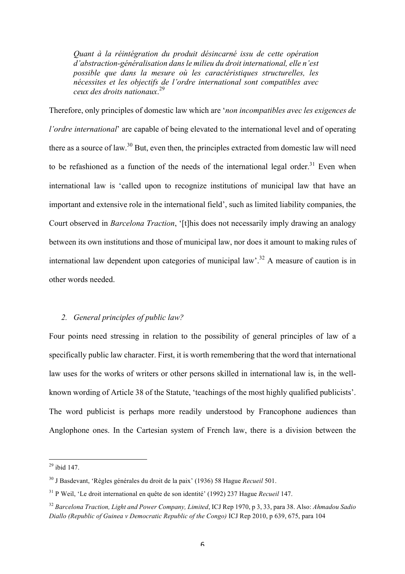*Quant à la réintégration du produit désincarné issu de cette opération d'abstraction-généralisation dans le milieu du droit international, elle n'est possible que dans la mesure où les caractéristiques structurelles, les nécessites et les objectifs de l'ordre international sont compatibles avec ceux des droits nationaux*. 29

Therefore, only principles of domestic law which are '*non incompatibles avec les exigences de l'ordre international*' are capable of being elevated to the international level and of operating there as a source of law.<sup>30</sup> But, even then, the principles extracted from domestic law will need to be refashioned as a function of the needs of the international legal order.<sup>31</sup> Even when international law is 'called upon to recognize institutions of municipal law that have an important and extensive role in the international field', such as limited liability companies, the Court observed in *Barcelona Traction*, '[t]his does not necessarily imply drawing an analogy between its own institutions and those of municipal law, nor does it amount to making rules of international law dependent upon categories of municipal law'. <sup>32</sup> A measure of caution is in other words needed.

#### *2. General principles of public law?*

Four points need stressing in relation to the possibility of general principles of law of a specifically public law character. First, it is worth remembering that the word that international law uses for the works of writers or other persons skilled in international law is, in the wellknown wording of Article 38 of the Statute, 'teachings of the most highly qualified publicists'. The word publicist is perhaps more readily understood by Francophone audiences than Anglophone ones. In the Cartesian system of French law, there is a division between the

 $^{29}$  ibid 147.

<sup>30</sup> J Basdevant, 'Règles générales du droit de la paix' (1936) 58 Hague *Recueil* 501.

<sup>31</sup> P Weil, 'Le droit international en quête de son identité' (1992) 237 Hague *Recueil* 147.

<sup>32</sup> *Barcelona Traction, Light and Power Company, Limited*, ICJ Rep 1970, p 3, 33, para 38. Also: *Ahmadou Sadio Diallo (Republic of Guinea v Democratic Republic of the Congo)* ICJ Rep 2010, p 639, 675, para 104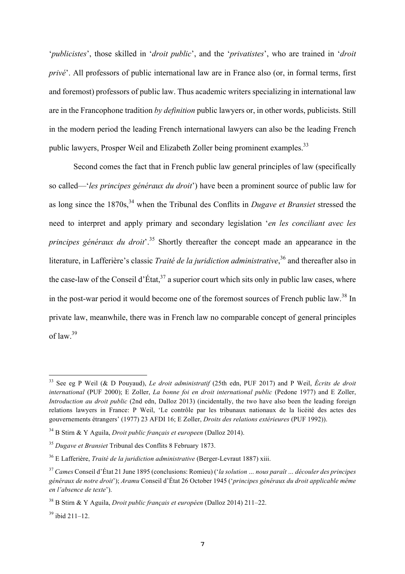'*publicistes*', those skilled in '*droit public*', and the '*privatistes*', who are trained in '*droit privé*'. All professors of public international law are in France also (or, in formal terms, first and foremost) professors of public law. Thus academic writers specializing in international law are in the Francophone tradition *by definition* public lawyers or, in other words, publicists. Still in the modern period the leading French international lawyers can also be the leading French public lawyers, Prosper Weil and Elizabeth Zoller being prominent examples.<sup>33</sup>

Second comes the fact that in French public law general principles of law (specifically so called—'*les principes généraux du droit*') have been a prominent source of public law for as long since the 1870s,<sup>34</sup> when the Tribunal des Conflits in *Dugave et Bransiet* stressed the need to interpret and apply primary and secondary legislation '*en les conciliant avec les principes généraux du droit*<sup>35</sup> Shortly thereafter the concept made an appearance in the literature, in Lafferière's classic *Traité de la juridiction administrative*, <sup>36</sup> and thereafter also in the case-law of the Conseil d'État,  $3^7$  a superior court which sits only in public law cases, where in the post-war period it would become one of the foremost sources of French public law.<sup>38</sup> In private law, meanwhile, there was in French law no comparable concept of general principles of law.<sup>39</sup>

<sup>33</sup> See eg P Weil (& D Pouyaud), *Le droit administratif* (25th edn, PUF 2017) and P Weil, *Écrits de droit international* (PUF 2000); E Zoller, *La bonne foi en droit international public* (Pedone 1977) and E Zoller, *Introduction au droit public* (2nd edn, Dalloz 2013) (incidentally, the two have also been the leading foreign relations lawyers in France: P Weil, 'Le contrôle par les tribunaux nationaux de la licéité des actes des gouvernements étrangers' (1977) 23 AFDI 16; E Zoller, *Droits des relations extérieures* (PUF 1992)).

<sup>34</sup> B Stirn & Y Aguila, *Droit public français et europeen* (Dalloz 2014).

<sup>35</sup> *Dugave et Bransiet* Tribunal des Conflits 8 February 1873.

<sup>36</sup> E Lafferière, *Traité de la juridiction administrative* (Berger-Levraut 1887) xiii.

<sup>37</sup> *Cames* Conseil d'État 21 June 1895 (conclusions: Romieu) ('*la solution … nous paraît … découler des principes généraux de notre droit*'); *Aramu* Conseil d'État 26 October 1945 ('*principes généraux du droit applicable même en l'absence de texte*').

<sup>38</sup> B Stirn & Y Aguila, *Droit public français et européen* (Dalloz 2014) 211–22.

 $39$  ibid 211–12.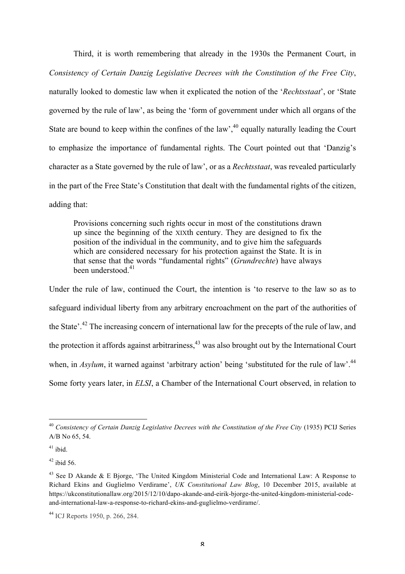Third, it is worth remembering that already in the 1930s the Permanent Court, in *Consistency of Certain Danzig Legislative Decrees with the Constitution of the Free City*, naturally looked to domestic law when it explicated the notion of the '*Rechtsstaat*', or 'State governed by the rule of law', as being the 'form of government under which all organs of the State are bound to keep within the confines of the law',  $40$  equally naturally leading the Court to emphasize the importance of fundamental rights. The Court pointed out that 'Danzig's character as a State governed by the rule of law', or as a *Rechtsstaat*, was revealed particularly in the part of the Free State's Constitution that dealt with the fundamental rights of the citizen, adding that:

Provisions concerning such rights occur in most of the constitutions drawn up since the beginning of the XIXth century. They are designed to fix the position of the individual in the community, and to give him the safeguards which are considered necessary for his protection against the State. It is in that sense that the words "fundamental rights" (*Grundrechte*) have always been understood <sup>41</sup>

Under the rule of law, continued the Court, the intention is 'to reserve to the law so as to safeguard individual liberty from any arbitrary encroachment on the part of the authorities of the State'.<sup>42</sup> The increasing concern of international law for the precepts of the rule of law, and the protection it affords against arbitrariness,<sup>43</sup> was also brought out by the International Court when, in *Asylum*, it warned against 'arbitrary action' being 'substituted for the rule of law'.<sup>44</sup> Some forty years later, in *ELSI*, a Chamber of the International Court observed, in relation to

<sup>&</sup>lt;sup>40</sup> Consistency of Certain Danzig Legislative Decrees with the Constitution of the Free City (1935) PCIJ Series A/B No 65, 54.

 $41$  ibid.

 $42$  ibid 56.

<sup>&</sup>lt;sup>43</sup> See D Akande & E Bjorge, 'The United Kingdom Ministerial Code and International Law: A Response to Richard Ekins and Guglielmo Verdirame', *UK Constitutional Law Blog*, 10 December 2015, available at https://ukconstitutionallaw.org/2015/12/10/dapo-akande-and-eirik-bjorge-the-united-kingdom-ministerial-codeand-international-law-a-response-to-richard-ekins-and-guglielmo-verdirame/.

<sup>44</sup> ICJ Reports 1950, p. 266, 284.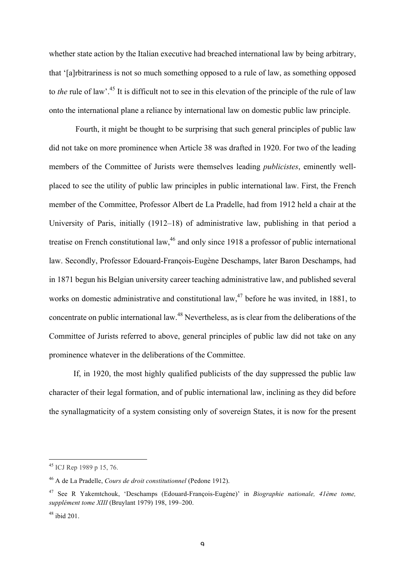whether state action by the Italian executive had breached international law by being arbitrary, that '[a]rbitrariness is not so much something opposed to a rule of law, as something opposed to *the* rule of law'.<sup>45</sup> It is difficult not to see in this elevation of the principle of the rule of law onto the international plane a reliance by international law on domestic public law principle.

Fourth, it might be thought to be surprising that such general principles of public law did not take on more prominence when Article 38 was drafted in 1920. For two of the leading members of the Committee of Jurists were themselves leading *publicistes*, eminently wellplaced to see the utility of public law principles in public international law. First, the French member of the Committee, Professor Albert de La Pradelle, had from 1912 held a chair at the University of Paris, initially (1912–18) of administrative law, publishing in that period a treatise on French constitutional law,<sup>46</sup> and only since 1918 a professor of public international law. Secondly, Professor Edouard-François-Eugène Deschamps, later Baron Deschamps, had in 1871 begun his Belgian university career teaching administrative law, and published several works on domestic administrative and constitutional law,  $47$  before he was invited, in 1881, to concentrate on public international law.<sup>48</sup> Nevertheless, as is clear from the deliberations of the Committee of Jurists referred to above, general principles of public law did not take on any prominence whatever in the deliberations of the Committee.

If, in 1920, the most highly qualified publicists of the day suppressed the public law character of their legal formation, and of public international law, inclining as they did before the synallagmaticity of a system consisting only of sovereign States, it is now for the present

<sup>45</sup> ICJ Rep 1989 p 15, 76.

<sup>46</sup> A de La Pradelle, *Cours de droit constitutionnel* (Pedone 1912).

<sup>47</sup> See R Yakemtchouk, 'Deschamps (Edouard-François-Eugène)' in *Biographie nationale, 41ème tome, supplément tome XIII* (Bruylant 1979) 198, 199–200.

 $48$  ibid 201.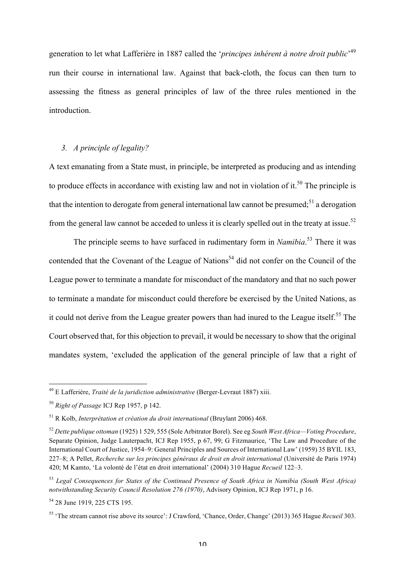generation to let what Lafferière in 1887 called the '*principes inhérent à notre droit public*' 49 run their course in international law. Against that back-cloth, the focus can then turn to assessing the fitness as general principles of law of the three rules mentioned in the introduction.

### *3. A principle of legality?*

A text emanating from a State must, in principle, be interpreted as producing and as intending to produce effects in accordance with existing law and not in violation of it.<sup>50</sup> The principle is that the intention to derogate from general international law cannot be presumed;<sup>51</sup> a derogation from the general law cannot be acceded to unless it is clearly spelled out in the treaty at issue.<sup>52</sup>

The principle seems to have surfaced in rudimentary form in *Namibia*. <sup>53</sup> There it was contended that the Covenant of the League of Nations<sup>54</sup> did not confer on the Council of the League power to terminate a mandate for misconduct of the mandatory and that no such power to terminate a mandate for misconduct could therefore be exercised by the United Nations, as it could not derive from the League greater powers than had inured to the League itself.<sup>55</sup> The Court observed that, for this objection to prevail, it would be necessary to show that the original mandates system, 'excluded the application of the general principle of law that a right of

<sup>49</sup> E Lafferière, *Traité de la juridiction administrative* (Berger-Levraut 1887) xiii.

<sup>50</sup> *Right of Passage* ICJ Rep 1957, p 142.

<sup>51</sup> R Kolb, *Interprétation et création du droit international* (Bruylant 2006) 468.

<sup>52</sup> *Dette publique ottoman* (1925) 1 529, 555 (Sole Arbitrator Borel). See eg *South West Africa—Voting Procedure*, Separate Opinion, Judge Lauterpacht, ICJ Rep 1955, p 67, 99; G Fitzmaurice, 'The Law and Procedure of the International Court of Justice, 1954–9: General Principles and Sources of International Law' (1959) 35 BYIL 183, 227–8; A Pellet, *Recherche sur les principes généraux de droit en droit international* (Université de Paris 1974) 420; M Kamto, 'La volonté de l'état en droit international' (2004) 310 Hague *Recueil* 122–3.

<sup>53</sup> *Legal Consequences for States of the Continued Presence of South Africa in Namibia (South West Africa) notwithstanding Security Council Resolution 276 (1970)*, Advisory Opinion, ICJ Rep 1971, p 16.

<sup>54</sup> 28 June 1919, 225 CTS 195.

<sup>55</sup> 'The stream cannot rise above its source': J Crawford, 'Chance, Order, Change' (2013) 365 Hague *Recueil* 303.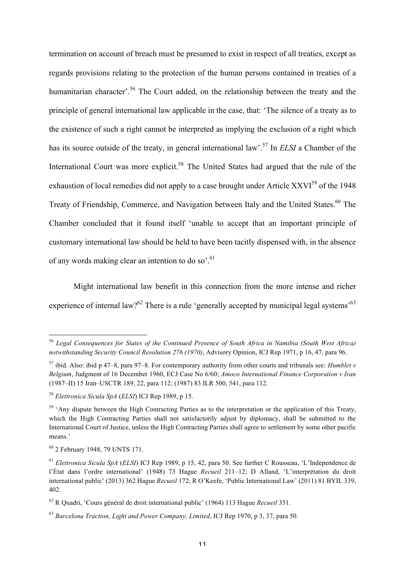termination on account of breach must be presumed to exist in respect of all treaties, except as regards provisions relating to the protection of the human persons contained in treaties of a humanitarian character<sup>56</sup>. The Court added, on the relationship between the treaty and the principle of general international law applicable in the case, that: 'The silence of a treaty as to the existence of such a right cannot be interpreted as implying the exclusion of a right which has its source outside of the treaty, in general international law'.57 In *ELSI* a Chamber of the International Court was more explicit.<sup>58</sup> The United States had argued that the rule of the exhaustion of local remedies did not apply to a case brought under Article XXVI<sup>59</sup> of the 1948 Treaty of Friendship, Commerce, and Navigation between Italy and the United States.<sup>60</sup> The Chamber concluded that it found itself 'unable to accept that an important principle of customary international law should be held to have been tacitly dispensed with, in the absence of any words making clear an intention to do so'.<sup>61</sup>

Might international law benefit in this connection from the more intense and richer experience of internal law?<sup>62</sup> There is a rule 'generally accepted by municipal legal systems'<sup>63</sup>

<sup>56</sup> *Legal Consequences for States of the Continued Presence of South Africa in Namibia (South West Africa) notwithstanding Security Council Resolution 276 (1970)*, Advisory Opinion, ICJ Rep 1971, p 16, 47, para 96.

<sup>57</sup> ibid. Also: ibid p 47–8, para 97–8. For contemporary authority from other courts and tribunals see: *Humblet v Belgium*, Judgment of 16 December 1960, ECJ Case No 6/60; *Amoco International Finance Corporation v Iran* (1987–II) 15 Iran–USCTR 189, 22, para 112; (1987) 83 ILR 500, 541, para 112.

<sup>58</sup> *Elettronica Sicula SpA* (*ELSI*) ICJ Rep 1989, p 15.

 $59$  'Any dispute between the High Contracting Parties as to the interpretation or the application of this Treaty, which the High Contracting Parties shall not satisfactorily adjust by diplomacy, shall be submitted to the International Court of Justice, unless the High Contracting Parties shall agree to settlement by some other pacific means.'

<sup>60</sup> 2 February 1948, 79 UNTS 171.

<sup>61</sup> *Elettronica Sicula SpA* (*ELSI*) ICJ Rep 1989, p 15, 42, para 50. See further C Rousseau, 'L'Independence de l'État dans l'ordre international' (1948) 73 Hague *Recueil* 211–12; D Alland, 'L'interprétation du droit international public' (2013) 362 Hague *Recueil* 172; R O'Keefe, 'Public International Law' (2011) 81 BYIL 339, 402.

<sup>62</sup> R Quadri, 'Cours général de droit international public' (1964) 113 Hague *Recueil* 351.

<sup>63</sup> *Barcelona Traction, Light and Power Company, Limited*, ICJ Rep 1970, p 3, 37, para 50.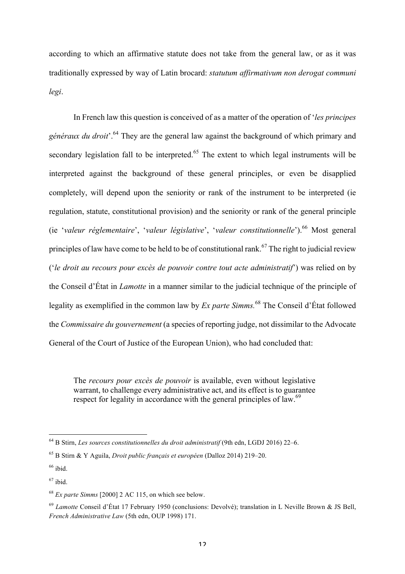according to which an affirmative statute does not take from the general law, or as it was traditionally expressed by way of Latin brocard: *statutum affirmativum non derogat communi legi*.

In French law this question is conceived of as a matter of the operation of '*les principes généraux du droit*'.<sup>64</sup> They are the general law against the background of which primary and secondary legislation fall to be interpreted.<sup> $65$ </sup> The extent to which legal instruments will be interpreted against the background of these general principles, or even be disapplied completely, will depend upon the seniority or rank of the instrument to be interpreted (ie regulation, statute, constitutional provision) and the seniority or rank of the general principle (ie '*valeur réglementaire*', '*valeur législative*', '*valeur constitutionnelle*'). <sup>66</sup> Most general principles of law have come to be held to be of constitutional rank.<sup>67</sup> The right to judicial review ('*le droit au recours pour excès de pouvoir contre tout acte administratif*') was relied on by the Conseil d'État in *Lamotte* in a manner similar to the judicial technique of the principle of legality as exemplified in the common law by *Ex parte Simms.* <sup>68</sup> The Conseil d'État followed the *Commissaire du gouvernement* (a species of reporting judge, not dissimilar to the Advocate General of the Court of Justice of the European Union), who had concluded that:

The *recours pour excès de pouvoir* is available, even without legislative warrant, to challenge every administrative act, and its effect is to guarantee respect for legality in accordance with the general principles of law.<sup>69</sup>

<sup>64</sup> B Stirn, *Les sources constitutionnelles du droit administratif* (9th edn, LGDJ 2016) 22–6.

<sup>65</sup> B Stirn & Y Aguila, *Droit public français et européen* (Dalloz 2014) 219–20.

 $66$  ibid.

 $67$  ibid.

<sup>68</sup> *Ex parte Simms* [2000] 2 AC 115, on which see below.

<sup>69</sup> *Lamotte* Conseil d'État 17 February 1950 (conclusions: Devolvé); translation in L Neville Brown & JS Bell, *French Administrative Law* (5th edn, OUP 1998) 171.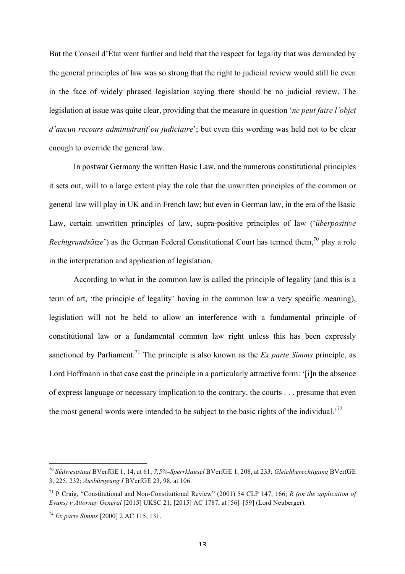But the Conseil d'État went further and held that the respect for legality that was demanded by the general principles of law was so strong that the right to judicial review would still lie even in the face of widely phrased legislation saying there should be no judicial review. The legislation at issue was quite clear, providing that the measure in question '*ne peut faire l'objet d'aucun recours administratif ou judiciaire*'; but even this wording was held not to be clear enough to override the general law.

In postwar Germany the written Basic Law, and the numerous constitutional principles it sets out, will to a large extent play the role that the unwritten principles of the common or general law will play in UK and in French law; but even in German law, in the era of the Basic Law, certain unwritten principles of law, supra-positive principles of law ('*überpositive Rechtgrundsätze*') as the German Federal Constitutional Court has termed them,<sup>70</sup> play a role in the interpretation and application of legislation.

According to what in the common law is called the principle of legality (and this is a term of art, 'the principle of legality' having in the common law a very specific meaning), legislation will not be held to allow an interference with a fundamental principle of constitutional law or a fundamental common law right unless this has been expressly sanctioned by Parliament.<sup>71</sup> The principle is also known as the *Ex parte Simms* principle, as Lord Hoffmann in that case cast the principle in a particularly attractive form: '[i]n the absence of express language or necessary implication to the contrary, the courts . . . presume that even the most general words were intended to be subject to the basic rights of the individual.<sup>72</sup>

<sup>70</sup> *Südweststaat* BVerfGE 1, 14, at 61; *7,5%-Sperrklausel* BVerfGE 1, 208, at 233; *Gleichberechtigung* BVerfGE 3, 225, 232; *Ausbürgeung I* BVerfGE 23, 98, at 106.

<sup>71</sup> P Craig, "Constitutional and Non-Constitutional Review" (2001) 54 CLP 147, 166; *R (on the application of Evans) v Attorney General* [2015] UKSC 21; [2015] AC 1787, at [56]–[59] (Lord Neuberger).

<sup>72</sup> *Ex parte Simms* [2000] 2 AC 115, 131.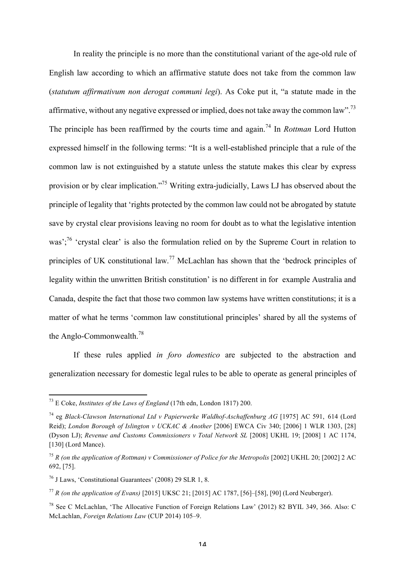In reality the principle is no more than the constitutional variant of the age-old rule of English law according to which an affirmative statute does not take from the common law (*statutum affirmativum non derogat communi legi*). As Coke put it, "a statute made in the affirmative, without any negative expressed or implied, does not take away the common law".<sup>73</sup> The principle has been reaffirmed by the courts time and again.<sup>74</sup> In *Rottman* Lord Hutton expressed himself in the following terms: "It is a well-established principle that a rule of the common law is not extinguished by a statute unless the statute makes this clear by express provision or by clear implication."<sup>75</sup> Writing extra-judicially, Laws LJ has observed about the principle of legality that 'rights protected by the common law could not be abrogated by statute save by crystal clear provisions leaving no room for doubt as to what the legislative intention was';<sup>76</sup> 'crystal clear' is also the formulation relied on by the Supreme Court in relation to principles of UK constitutional law.<sup>77</sup> McLachlan has shown that the 'bedrock principles of legality within the unwritten British constitution' is no different in for example Australia and Canada, despite the fact that those two common law systems have written constitutions; it is a matter of what he terms 'common law constitutional principles' shared by all the systems of the Anglo-Commonwealth.78

If these rules applied *in foro domestico* are subjected to the abstraction and generalization necessary for domestic legal rules to be able to operate as general principles of

<sup>73</sup> E Coke, *Institutes of the Laws of England* (17th edn, London 1817) 200.

<sup>74</sup> eg *Black-Clawson International Ltd v Papierwerke Waldhof-Aschaffenburg AG* [1975] AC 591, 614 (Lord Reid); *London Borough of Islington v UCKAC & Another* [2006] EWCA Civ 340; [2006] 1 WLR 1303, [28] (Dyson LJ); *Revenue and Customs Commissioners v Total Network SL* [2008] UKHL 19; [2008] 1 AC 1174, [130] (Lord Mance).

<sup>75</sup> *R (on the application of Rottman) v Commissioner of Police for the Metropolis* [2002] UKHL 20; [2002] 2 AC 692, [75].

<sup>76</sup> J Laws, 'Constitutional Guarantees' (2008) 29 SLR 1, 8.

<sup>77</sup> *R (on the application of Evans)* [2015] UKSC 21; [2015] AC 1787, [56]–[58], [90] (Lord Neuberger).

<sup>78</sup> See C McLachlan, 'The Allocative Function of Foreign Relations Law' (2012) 82 BYIL 349, 366. Also: C McLachlan, *Foreign Relations Law* (CUP 2014) 105–9.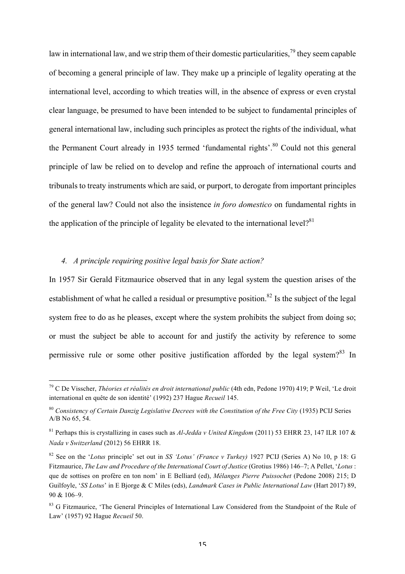law in international law, and we strip them of their domestic particularities,<sup>79</sup> they seem capable of becoming a general principle of law. They make up a principle of legality operating at the international level, according to which treaties will, in the absence of express or even crystal clear language, be presumed to have been intended to be subject to fundamental principles of general international law, including such principles as protect the rights of the individual, what the Permanent Court already in 1935 termed 'fundamental rights'.<sup>80</sup> Could not this general principle of law be relied on to develop and refine the approach of international courts and tribunals to treaty instruments which are said, or purport, to derogate from important principles of the general law? Could not also the insistence *in foro domestico* on fundamental rights in the application of the principle of legality be elevated to the international level?<sup>81</sup>

# *4. A principle requiring positive legal basis for State action?*

 

In 1957 Sir Gerald Fitzmaurice observed that in any legal system the question arises of the establishment of what he called a residual or presumptive position.<sup>82</sup> Is the subject of the legal system free to do as he pleases, except where the system prohibits the subject from doing so; or must the subject be able to account for and justify the activity by reference to some permissive rule or some other positive justification afforded by the legal system?<sup>83</sup> In

<sup>79</sup> C De Visscher, *Théories et réalités en droit international public* (4th edn, Pedone 1970) 419; P Weil, 'Le droit international en quête de son identité' (1992) 237 Hague *Recueil* 145.

<sup>&</sup>lt;sup>80</sup> *Consistency of Certain Danzig Legislative Decrees with the Constitution of the Free City (1935)* PCIJ Series A/B No 65, 54.

<sup>81</sup> Perhaps this is crystallizing in cases such as *Al-Jedda v United Kingdom* (2011) 53 EHRR 23, 147 ILR 107 & *Nada v Switzerland* (2012) 56 EHRR 18.

<sup>82</sup> See on the '*Lotus* principle' set out in *SS 'Lotus' (France v Turkey)* 1927 PCIJ (Series A) No 10, p 18: G Fitzmaurice, *The Law and Procedure of the International Court of Justice* (Grotius 1986) 146–7; A Pellet, '*Lotus* : que de sottises on profère en ton nom' in E Belliard (ed), *Mélanges Pierre Puissochet* (Pedone 2008) 215; D Guilfoyle, '*SS Lotus*' in E Bjorge & C Miles (eds), *Landmark Cases in Public International Law* (Hart 2017) 89, 90 & 106–9.

<sup>&</sup>lt;sup>83</sup> G Fitzmaurice, 'The General Principles of International Law Considered from the Standpoint of the Rule of Law' (1957) 92 Hague *Recueil* 50.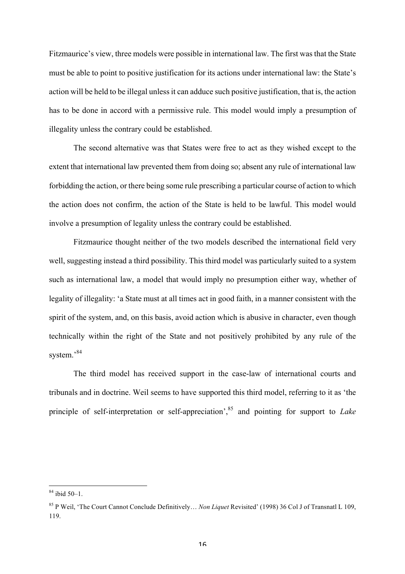Fitzmaurice's view, three models were possible in international law. The first was that the State must be able to point to positive justification for its actions under international law: the State's action will be held to be illegal unless it can adduce such positive justification, that is, the action has to be done in accord with a permissive rule. This model would imply a presumption of illegality unless the contrary could be established.

The second alternative was that States were free to act as they wished except to the extent that international law prevented them from doing so; absent any rule of international law forbidding the action, or there being some rule prescribing a particular course of action to which the action does not confirm, the action of the State is held to be lawful. This model would involve a presumption of legality unless the contrary could be established.

Fitzmaurice thought neither of the two models described the international field very well, suggesting instead a third possibility. This third model was particularly suited to a system such as international law, a model that would imply no presumption either way, whether of legality of illegality: 'a State must at all times act in good faith, in a manner consistent with the spirit of the system, and, on this basis, avoid action which is abusive in character, even though technically within the right of the State and not positively prohibited by any rule of the system.'<sup>84</sup>

The third model has received support in the case-law of international courts and tribunals and in doctrine. Weil seems to have supported this third model, referring to it as 'the principle of self-interpretation or self-appreciation<sup>3, 85</sup> and pointing for support to *Lake* 

<sup>84</sup> ibid 50–1.

<sup>85</sup> P Weil, 'The Court Cannot Conclude Definitively… *Non Liquet* Revisited' (1998) 36 Col J of Transnatl L 109, 119.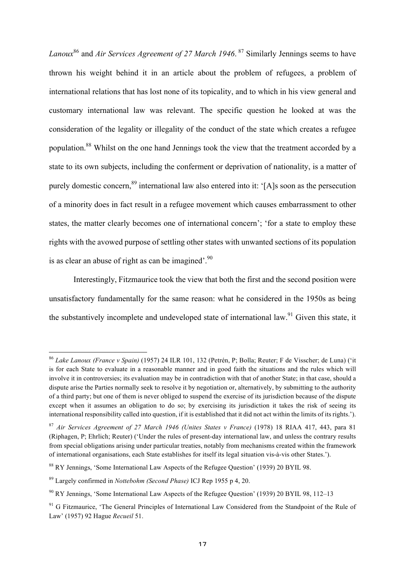*Lanoux*<sup>86</sup> and *Air Services Agreement of 27 March 1946*. <sup>87</sup> Similarly Jennings seems to have thrown his weight behind it in an article about the problem of refugees, a problem of international relations that has lost none of its topicality, and to which in his view general and customary international law was relevant. The specific question he looked at was the consideration of the legality or illegality of the conduct of the state which creates a refugee population.88 Whilst on the one hand Jennings took the view that the treatment accorded by a state to its own subjects, including the conferment or deprivation of nationality, is a matter of purely domestic concern,<sup>89</sup> international law also entered into it: '[A]s soon as the persecution of a minority does in fact result in a refugee movement which causes embarrassment to other states, the matter clearly becomes one of international concern'; 'for a state to employ these rights with the avowed purpose of settling other states with unwanted sections of its population is as clear an abuse of right as can be imagined'.<sup>90</sup>

Interestingly, Fitzmaurice took the view that both the first and the second position were unsatisfactory fundamentally for the same reason: what he considered in the 1950s as being the substantively incomplete and undeveloped state of international law.<sup>91</sup> Given this state, it

<sup>86</sup> *Lake Lanoux (France v Spain)* (1957) 24 ILR 101, 132 (Petrén, P; Bolla; Reuter; F de Visscher; de Luna) ('it is for each State to evaluate in a reasonable manner and in good faith the situations and the rules which will involve it in controversies; its evaluation may be in contradiction with that of another State; in that case, should a dispute arise the Parties normally seek to resolve it by negotiation or, alternatively, by submitting to the authority of a third party; but one of them is never obliged to suspend the exercise of its jurisdiction because of the dispute except when it assumes an obligation to do so; by exercising its jurisdiction it takes the risk of seeing its international responsibility called into question, if it is established that it did not act within the limits of its rights.').

<sup>87</sup> *Air Services Agreement of 27 March 1946 (Unites States v France)* (1978) 18 RIAA 417, 443, para 81 (Riphagen, P; Ehrlich; Reuter) ('Under the rules of present-day international law, and unless the contrary results from special obligations arising under particular treaties, notably from mechanisms created within the framework of international organisations, each State establishes for itself its legal situation vis-à-vis other States.').

<sup>88</sup> RY Jennings, 'Some International Law Aspects of the Refugee Question' (1939) 20 BYIL 98.

<sup>89</sup> Largely confirmed in *Nottebohm (Second Phase)* ICJ Rep 1955 p 4, 20.

<sup>90</sup> RY Jennings, 'Some International Law Aspects of the Refugee Question' (1939) 20 BYIL 98, 112–13

<sup>&</sup>lt;sup>91</sup> G Fitzmaurice, 'The General Principles of International Law Considered from the Standpoint of the Rule of Law' (1957) 92 Hague *Recueil* 51.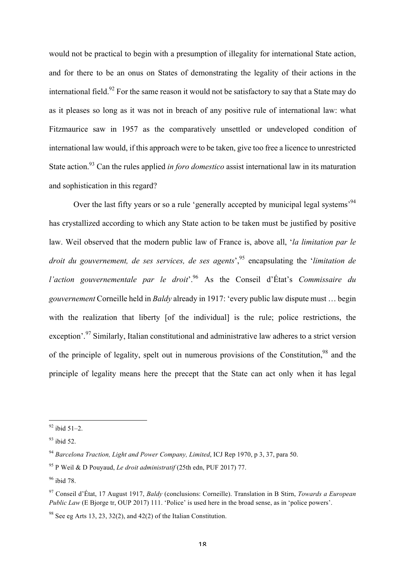would not be practical to begin with a presumption of illegality for international State action, and for there to be an onus on States of demonstrating the legality of their actions in the international field.<sup>92</sup> For the same reason it would not be satisfactory to say that a State may do as it pleases so long as it was not in breach of any positive rule of international law: what Fitzmaurice saw in 1957 as the comparatively unsettled or undeveloped condition of international law would, if this approach were to be taken, give too free a licence to unrestricted State action.93 Can the rules applied *in foro domestico* assist international law in its maturation and sophistication in this regard?

Over the last fifty years or so a rule 'generally accepted by municipal legal systems<sup>394</sup> has crystallized according to which any State action to be taken must be justified by positive law. Weil observed that the modern public law of France is, above all, '*la limitation par le droit du gouvernement, de ses services, de ses agents*', <sup>95</sup> encapsulating the '*limitation de l'action gouvernementale par le droit*'.96 As the Conseil d'État's *Commissaire du gouvernement* Corneille held in *Baldy* already in 1917: 'every public law dispute must … begin with the realization that liberty [of the individual] is the rule; police restrictions, the exception'.<sup>97</sup> Similarly, Italian constitutional and administrative law adheres to a strict version of the principle of legality, spelt out in numerous provisions of the Constitution,<sup>98</sup> and the principle of legality means here the precept that the State can act only when it has legal

 $92$  ibid 51–2.

 $93$  ibid 52.

<sup>94</sup> *Barcelona Traction, Light and Power Company, Limited*, ICJ Rep 1970, p 3, 37, para 50.

<sup>95</sup> P Weil & D Pouyaud, *Le droit administratif* (25th edn, PUF 2017) 77.

<sup>96</sup> ibid 78.

<sup>97</sup> Conseil d'État, 17 August 1917, *Baldy* (conclusions: Corneille). Translation in B Stirn, *Towards a European Public Law* (E Bjorge tr, OUP 2017) 111. 'Police' is used here in the broad sense, as in 'police powers'.

 $98$  See eg Arts 13, 23, 32(2), and 42(2) of the Italian Constitution.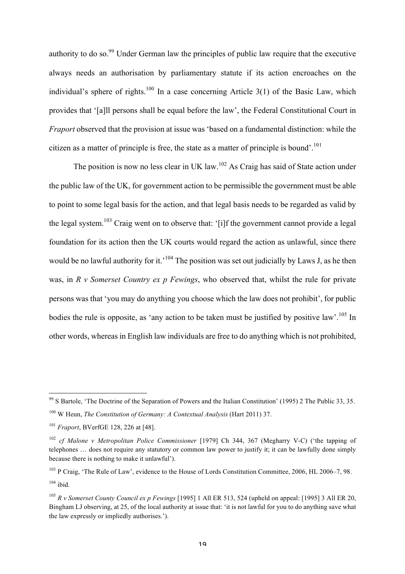authority to do so.<sup>99</sup> Under German law the principles of public law require that the executive always needs an authorisation by parliamentary statute if its action encroaches on the individual's sphere of rights.<sup>100</sup> In a case concerning Article 3(1) of the Basic Law, which provides that '[a]ll persons shall be equal before the law', the Federal Constitutional Court in *Fraport* observed that the provision at issue was 'based on a fundamental distinction: while the citizen as a matter of principle is free, the state as a matter of principle is bound'. 101

The position is now no less clear in UK law.<sup>102</sup> As Craig has said of State action under the public law of the UK, for government action to be permissible the government must be able to point to some legal basis for the action, and that legal basis needs to be regarded as valid by the legal system.<sup>103</sup> Craig went on to observe that: '[i]f the government cannot provide a legal foundation for its action then the UK courts would regard the action as unlawful, since there would be no lawful authority for it.<sup>'104</sup> The position was set out judicially by Laws J, as he then was, in *R v Somerset Country ex p Fewings*, who observed that, whilst the rule for private persons was that 'you may do anything you choose which the law does not prohibit', for public bodies the rule is opposite, as 'any action to be taken must be justified by positive law'.<sup>105</sup> In other words, whereas in English law individuals are free to do anything which is not prohibited,

 $99$  S Bartole, 'The Doctrine of the Separation of Powers and the Italian Constitution' (1995) 2 The Public 33, 35. <sup>100</sup> W Heun, *The Constitution of Germany: A Contextual Analysis* (Hart 2011) 37.

<sup>101</sup> *Fraport*, BVerfGE 128, 226 at [48].

<sup>102</sup> *cf Malone v Metropolitan Police Commissioner* [1979] Ch 344, 367 (Megharry V-C) ('the tapping of telephones … does not require any statutory or common law power to justify it; it can be lawfully done simply because there is nothing to make it unlawful').

<sup>&</sup>lt;sup>103</sup> P Craig, 'The Rule of Law', evidence to the House of Lords Constitution Committee, 2006, HL 2006–7, 98.  $104$  ibid.

<sup>105</sup> *R v Somerset County Council ex p Fewings* [1995] 1 All ER 513, 524 (upheld on appeal: [1995] 3 All ER 20, Bingham LJ observing, at 25, of the local authority at issue that: 'it is not lawful for you to do anything save what the law expressly or impliedly authorises.').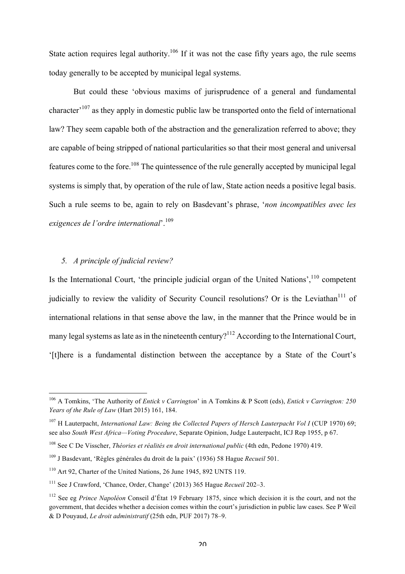State action requires legal authority.<sup>106</sup> If it was not the case fifty years ago, the rule seems today generally to be accepted by municipal legal systems.

But could these 'obvious maxims of jurisprudence of a general and fundamental character'<sup>107</sup> as they apply in domestic public law be transported onto the field of international law? They seem capable both of the abstraction and the generalization referred to above; they are capable of being stripped of national particularities so that their most general and universal features come to the fore.108 The quintessence of the rule generally accepted by municipal legal systems is simply that, by operation of the rule of law, State action needs a positive legal basis. Such a rule seems to be, again to rely on Basdevant's phrase, '*non incompatibles avec les exigences de l'ordre international*'. 109

## *5. A principle of judicial review?*

 

Is the International Court, 'the principle judicial organ of the United Nations',  $110$  competent judicially to review the validity of Security Council resolutions? Or is the Leviathan<sup>111</sup> of international relations in that sense above the law, in the manner that the Prince would be in many legal systems as late as in the nineteenth century?<sup>112</sup> According to the International Court, '[t]here is a fundamental distinction between the acceptance by a State of the Court's

<sup>106</sup> A Tomkins, 'The Authority of *Entick v Carrington*' in A Tomkins & P Scott (eds), *Entick v Carrington: 250 Years of the Rule of Law* (Hart 2015) 161, 184.

<sup>&</sup>lt;sup>107</sup> H Lauterpacht, *International Law: Being the Collected Papers of Hersch Lauterpacht Vol I* (CUP 1970) 69; see also *South West Africa—Voting Procedure*, Separate Opinion, Judge Lauterpacht, ICJ Rep 1955, p 67.

<sup>108</sup> See C De Visscher, *Théories et réalités en droit international public* (4th edn, Pedone 1970) 419.

<sup>109</sup> J Basdevant, 'Règles générales du droit de la paix' (1936) 58 Hague *Recueil* 501.

<sup>&</sup>lt;sup>110</sup> Art 92, Charter of the United Nations, 26 June 1945, 892 UNTS 119.

<sup>111</sup> See J Crawford, 'Chance, Order, Change' (2013) 365 Hague *Recueil* 202–3.

<sup>112</sup> See eg *Prince Napoléon* Conseil d'État 19 February 1875, since which decision it is the court, and not the government, that decides whether a decision comes within the court's jurisdiction in public law cases. See P Weil & D Pouyaud, *Le droit administratif* (25th edn, PUF 2017) 78–9.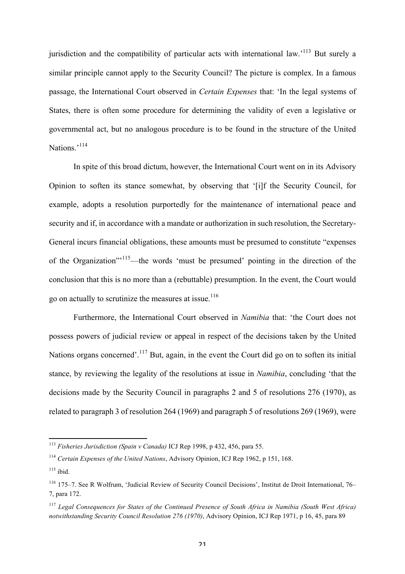jurisdiction and the compatibility of particular acts with international law.<sup>113</sup> But surely a similar principle cannot apply to the Security Council? The picture is complex. In a famous passage, the International Court observed in *Certain Expenses* that: 'In the legal systems of States, there is often some procedure for determining the validity of even a legislative or governmental act, but no analogous procedure is to be found in the structure of the United Nations.'<sup>114</sup>

In spite of this broad dictum, however, the International Court went on in its Advisory Opinion to soften its stance somewhat, by observing that '[i]f the Security Council, for example, adopts a resolution purportedly for the maintenance of international peace and security and if, in accordance with a mandate or authorization in such resolution, the Secretary-General incurs financial obligations, these amounts must be presumed to constitute "expenses of the Organization"'115—the words 'must be presumed' pointing in the direction of the conclusion that this is no more than a (rebuttable) presumption. In the event, the Court would go on actually to scrutinize the measures at issue.<sup>116</sup>

Furthermore, the International Court observed in *Namibia* that: 'the Court does not possess powers of judicial review or appeal in respect of the decisions taken by the United Nations organs concerned'.<sup>117</sup> But, again, in the event the Court did go on to soften its initial stance, by reviewing the legality of the resolutions at issue in *Namibia*, concluding 'that the decisions made by the Security Council in paragraphs 2 and 5 of resolutions 276 (1970), as related to paragraph 3 of resolution 264 (1969) and paragraph 5 of resolutions 269 (1969), were

 <sup>113</sup> *Fisheries Jurisdiction (Spain v Canada)* ICJ Rep 1998, p 432, 456, para 55.

<sup>114</sup> *Certain Expenses of the United Nations*, Advisory Opinion, ICJ Rep 1962, p 151, 168.

 $115$  ibid.

<sup>116</sup> 175–7. See R Wolfrum, 'Judicial Review of Security Council Decisions', Institut de Droit International, 76– 7, para 172.

<sup>117</sup> *Legal Consequences for States of the Continued Presence of South Africa in Namibia (South West Africa) notwithstanding Security Council Resolution 276 (1970)*, Advisory Opinion, ICJ Rep 1971, p 16, 45, para 89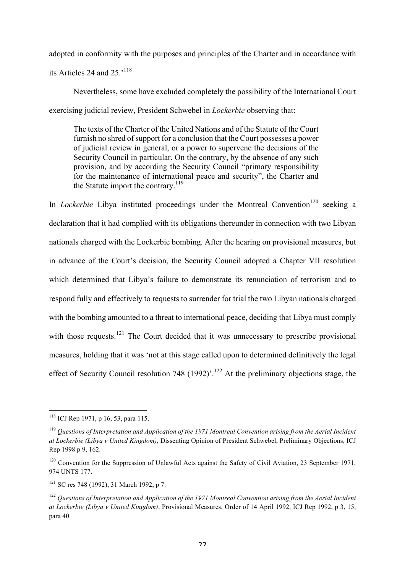adopted in conformity with the purposes and principles of the Charter and in accordance with its Articles 24 and 25 $^{118}$ 

Nevertheless, some have excluded completely the possibility of the International Court exercising judicial review, President Schwebel in *Lockerbie* observing that:

The texts of the Charter of the United Nations and of the Statute of the Court furnish no shred of support for a conclusion that the Court possesses a power of judicial review in general, or a power to supervene the decisions of the Security Council in particular. On the contrary, by the absence of any such provision, and by according the Security Council "primary responsibility for the maintenance of international peace and security", the Charter and the Statute import the contrary.119

In *Lockerbie* Libya instituted proceedings under the Montreal Convention<sup>120</sup> seeking a declaration that it had complied with its obligations thereunder in connection with two Libyan nationals charged with the Lockerbie bombing. After the hearing on provisional measures, but in advance of the Court's decision, the Security Council adopted a Chapter VII resolution which determined that Libya's failure to demonstrate its renunciation of terrorism and to respond fully and effectively to requests to surrender for trial the two Libyan nationals charged with the bombing amounted to a threat to international peace, deciding that Libya must comply with those requests.<sup>121</sup> The Court decided that it was unnecessary to prescribe provisional measures, holding that it was 'not at this stage called upon to determined definitively the legal effect of Security Council resolution 748 (1992)'.<sup>122</sup> At the preliminary objections stage, the

 <sup>118</sup> ICJ Rep 1971, p 16, 53, para 115.

<sup>119</sup> *Questions of Interpretation and Application of the 1971 Montreal Convention arising from the Aerial Incident at Lockerbie (Libya v United Kingdom)*, Dissenting Opinion of President Schwebel, Preliminary Objections, ICJ Rep 1998 p 9, 162.

<sup>&</sup>lt;sup>120</sup> Convention for the Suppression of Unlawful Acts against the Safety of Civil Aviation, 23 September 1971, 974 UNTS 177.

<sup>121</sup> SC res 748 (1992), 31 March 1992, p 7.

<sup>122</sup> *Questions of Interpretation and Application of the 1971 Montreal Convention arising from the Aerial Incident at Lockerbie (Libya v United Kingdom)*, Provisional Measures, Order of 14 April 1992, ICJ Rep 1992, p 3, 15, para 40.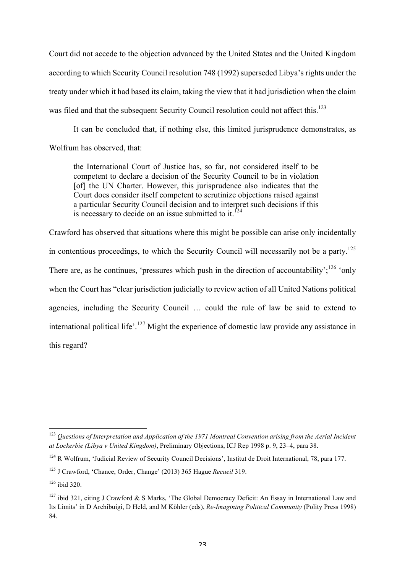Court did not accede to the objection advanced by the United States and the United Kingdom according to which Security Council resolution 748 (1992) superseded Libya's rights under the treaty under which it had based its claim, taking the view that it had jurisdiction when the claim was filed and that the subsequent Security Council resolution could not affect this.<sup>123</sup>

It can be concluded that, if nothing else, this limited jurisprudence demonstrates, as Wolfrum has observed, that:

the International Court of Justice has, so far, not considered itself to be competent to declare a decision of the Security Council to be in violation [of] the UN Charter. However, this jurisprudence also indicates that the Court does consider itself competent to scrutinize objections raised against a particular Security Council decision and to interpret such decisions if this is necessary to decide on an issue submitted to it.<sup>124</sup>

Crawford has observed that situations where this might be possible can arise only incidentally in contentious proceedings, to which the Security Council will necessarily not be a party.<sup>125</sup> There are, as he continues, 'pressures which push in the direction of accountability';<sup>126</sup> 'only when the Court has "clear jurisdiction judicially to review action of all United Nations political agencies, including the Security Council … could the rule of law be said to extend to international political life'.<sup>127</sup> Might the experience of domestic law provide any assistance in this regard?

<sup>123</sup> *Questions of Interpretation and Application of the 1971 Montreal Convention arising from the Aerial Incident at Lockerbie (Libya v United Kingdom)*, Preliminary Objections, ICJ Rep 1998 p. 9, 23–4, para 38.

<sup>&</sup>lt;sup>124</sup> R Wolfrum, 'Judicial Review of Security Council Decisions', Institut de Droit International, 78, para 177.

<sup>125</sup> J Crawford, 'Chance, Order, Change' (2013) 365 Hague *Recueil* 319.

 $126$  ibid 320.

<sup>&</sup>lt;sup>127</sup> ibid 321, citing J Crawford & S Marks, 'The Global Democracy Deficit: An Essay in International Law and Its Limits' in D Archibuigi, D Held, and M Köhler (eds), *Re-Imagining Political Community* (Polity Press 1998) 84.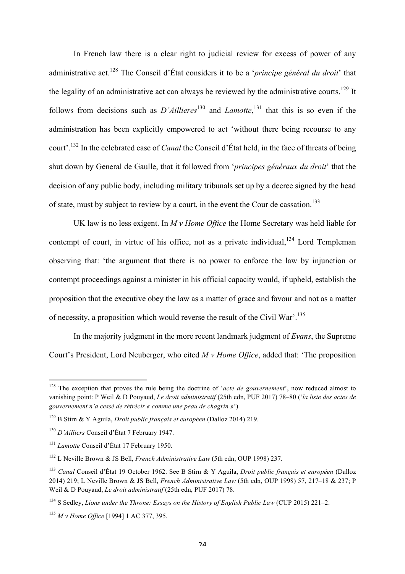In French law there is a clear right to judicial review for excess of power of any administrative act.128 The Conseil d'État considers it to be a '*principe général du droit*' that the legality of an administrative act can always be reviewed by the administrative courts.<sup>129</sup> It follows from decisions such as  $D'Allliers^{130}$  and *Lamotte*,<sup>131</sup> that this is so even if the administration has been explicitly empowered to act 'without there being recourse to any court'. <sup>132</sup> In the celebrated case of *Canal* the Conseil d'État held, in the face of threats of being shut down by General de Gaulle, that it followed from '*principes généraux du droit*' that the decision of any public body, including military tribunals set up by a decree signed by the head of state, must by subject to review by a court, in the event the Cour de cassation.<sup>133</sup>

UK law is no less exigent. In *M v Home Office* the Home Secretary was held liable for contempt of court, in virtue of his office, not as a private individual,  $134$  Lord Templeman observing that: 'the argument that there is no power to enforce the law by injunction or contempt proceedings against a minister in his official capacity would, if upheld, establish the proposition that the executive obey the law as a matter of grace and favour and not as a matter of necessity, a proposition which would reverse the result of the Civil War'.<sup>135</sup>

In the majority judgment in the more recent landmark judgment of *Evans*, the Supreme Court's President, Lord Neuberger, who cited *M v Home Office*, added that: 'The proposition

<sup>&</sup>lt;sup>128</sup> The exception that proves the rule being the doctrine of '*acte de gouvernement*', now reduced almost to vanishing point: P Weil & D Pouyaud, *Le droit administratif* (25th edn, PUF 2017) 78–80 ('*la liste des actes de gouvernement n'a cessé de rétrécir « comme une peau de chagrin »*').

<sup>129</sup> B Stirn & Y Aguila, *Droit public français et européen* (Dalloz 2014) 219.

<sup>130</sup> *D'Ailliers* Conseil d'État 7 February 1947.

<sup>131</sup> *Lamotte* Conseil d'État 17 February 1950.

<sup>132</sup> L Neville Brown & JS Bell, *French Administrative Law* (5th edn, OUP 1998) 237.

<sup>133</sup> *Canal* Conseil d'État 19 October 1962. See B Stirn & Y Aguila, *Droit public français et européen* (Dalloz 2014) 219; L Neville Brown & JS Bell, *French Administrative Law* (5th edn, OUP 1998) 57, 217–18 & 237; P Weil & D Pouyaud, *Le droit administratif* (25th edn, PUF 2017) 78.

<sup>134</sup> S Sedley, *Lions under the Throne: Essays on the History of English Public Law* (CUP 2015) 221–2.

<sup>135</sup> *M v Home Office* [1994] 1 AC 377, 395.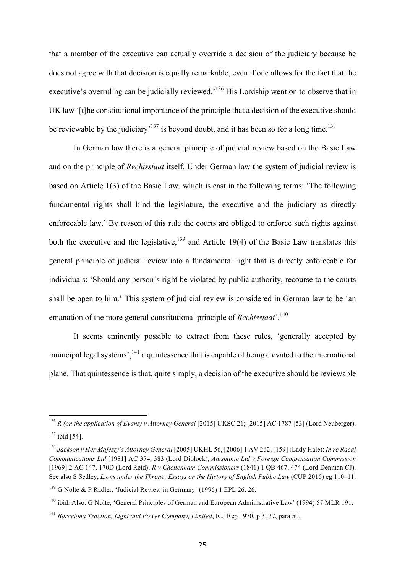that a member of the executive can actually override a decision of the judiciary because he does not agree with that decision is equally remarkable, even if one allows for the fact that the executive's overruling can be judicially reviewed.<sup>136</sup> His Lordship went on to observe that in UK law '[t]he constitutional importance of the principle that a decision of the executive should be reviewable by the judiciary<sup> $137$ </sup> is beyond doubt, and it has been so for a long time.<sup>138</sup>

In German law there is a general principle of judicial review based on the Basic Law and on the principle of *Rechtsstaat* itself. Under German law the system of judicial review is based on Article 1(3) of the Basic Law, which is cast in the following terms: 'The following fundamental rights shall bind the legislature, the executive and the judiciary as directly enforceable law.' By reason of this rule the courts are obliged to enforce such rights against both the executive and the legislative,<sup>139</sup> and Article 19(4) of the Basic Law translates this general principle of judicial review into a fundamental right that is directly enforceable for individuals: 'Should any person's right be violated by public authority, recourse to the courts shall be open to him.' This system of judicial review is considered in German law to be 'an emanation of the more general constitutional principle of *Rechtsstaat*<sup>'</sup>.<sup>140</sup>

It seems eminently possible to extract from these rules, 'generally accepted by municipal legal systems', <sup>141</sup> a quintessence that is capable of being elevated to the international plane. That quintessence is that, quite simply, a decision of the executive should be reviewable

<sup>136</sup> *R (on the application of Evans) v Attorney General* [2015] UKSC 21; [2015] AC 1787 [53] (Lord Neuberger). <sup>137</sup> ibid [54].

<sup>138</sup> *Jackson v Her Majesty's Attorney General* [2005] UKHL 56, [2006] 1 AV 262, [159] (Lady Hale); *In re Racal Communications Ltd* [1981] AC 374, 383 (Lord Diplock); *Anisminic Ltd v Foreign Compensation Commission* [1969] 2 AC 147, 170D (Lord Reid); *R v Cheltenham Commissioners* (1841) 1 QB 467, 474 (Lord Denman CJ). See also S Sedley, *Lions under the Throne: Essays on the History of English Public Law* (CUP 2015) eg 110–11.

<sup>139</sup> G Nolte & P Rädler, 'Judicial Review in Germany' (1995) 1 EPL 26, 26.

<sup>&</sup>lt;sup>140</sup> ibid. Also: G Nolte, 'General Principles of German and European Administrative Law' (1994) 57 MLR 191.

<sup>141</sup> *Barcelona Traction, Light and Power Company, Limited*, ICJ Rep 1970, p 3, 37, para 50.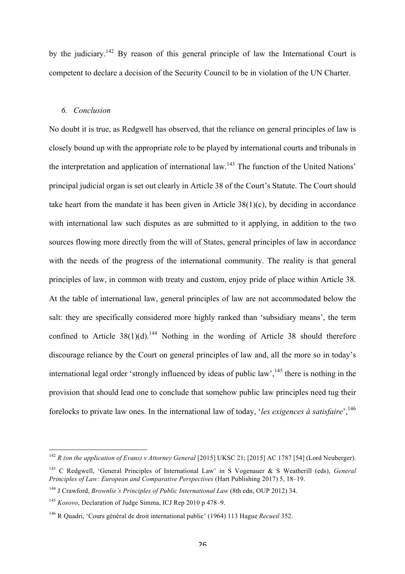by the judiciary.<sup>142</sup> By reason of this general principle of law the International Court is competent to declare a decision of the Security Council to be in violation of the UN Charter.

#### *6. Conclusion*

No doubt it is true, as Redgwell has observed, that the reliance on general principles of law is closely bound up with the appropriate role to be played by international courts and tribunals in the interpretation and application of international law.<sup>143</sup> The function of the United Nations' principal judicial organ is set out clearly in Article 38 of the Court's Statute. The Court should take heart from the mandate it has been given in Article 38(1)(c), by deciding in accordance with international law such disputes as are submitted to it applying, in addition to the two sources flowing more directly from the will of States, general principles of law in accordance with the needs of the progress of the international community. The reality is that general principles of law, in common with treaty and custom, enjoy pride of place within Article 38. At the table of international law, general principles of law are not accommodated below the salt: they are specifically considered more highly ranked than 'subsidiary means', the term confined to Article  $38(1)(d)$ <sup>144</sup> Nothing in the wording of Article 38 should therefore discourage reliance by the Court on general principles of law and, all the more so in today's international legal order 'strongly influenced by ideas of public law',  $145$  there is nothing in the provision that should lead one to conclude that somehow public law principles need tug their forelocks to private law ones. In the international law of today, '*les exigences à satisfaire*',146

<sup>142</sup> *R (on the application of Evans) v Attorney General* [2015] UKSC 21; [2015] AC 1787 [54] (Lord Neuberger).

<sup>143</sup> C Redgwell, 'General Principles of International Law' in S Vogenauer & S Weatherill (eds), *General Principles of Law: European and Comparative Perspectives* (Hart Publishing 2017) 5, 18–19.

<sup>144</sup> J Crawford, *Brownlie's Principles of Public International Law* (8th edn, OUP 2012) 34.

<sup>145</sup> *Kosovo*, Declaration of Judge Simma, ICJ Rep 2010 p 478–9.

<sup>146</sup> R Quadri, 'Cours général de droit international public' (1964) 113 Hague *Recueil* 352.